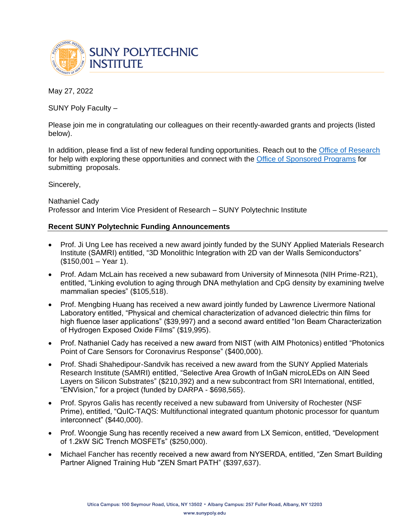

May 27, 2022

SUNY Poly Faculty –

Please join me in congratulating our colleagues on their recently-awarded grants and projects (listed below).

In addition, please find a list of new federal funding opportunities. Reach out to the [Office of Research](mailto:officeofresearch@sunypoly.edu) for help with exploring these opportunities and connect with the [Office of Sponsored Programs](https://sunypoly.edu/research/office-sponsored-programs.html) for submitting proposals.

Sincerely,

Nathaniel Cady Professor and Interim Vice President of Research – SUNY Polytechnic Institute

## **Recent SUNY Polytechnic Funding Announcements**

- Prof. Ji Ung Lee has received a new award jointly funded by the SUNY Applied Materials Research Institute (SAMRI) entitled, "3D Monolithic Integration with 2D van der Walls Semiconductors" (\$150,001 – Year 1).
- Prof. Adam McLain has received a new subaward from University of Minnesota (NIH Prime-R21), entitled, "Linking evolution to aging through DNA methylation and CpG density by examining twelve mammalian species" (\$105,518).
- Prof. Mengbing Huang has received a new award jointly funded by Lawrence Livermore National Laboratory entitled, "Physical and chemical characterization of advanced dielectric thin films for high fluence laser applications" (\$39,997) and a second award entitled "Ion Beam Characterization of Hydrogen Exposed Oxide Films" (\$19,995).
- Prof. Nathaniel Cady has received a new award from NIST (with AIM Photonics) entitled "Photonics Point of Care Sensors for Coronavirus Response" (\$400,000).
- Prof. Shadi Shahedipour-Sandvik has received a new award from the SUNY Applied Materials Research Institute (SAMRI) entitled, "Selective Area Growth of InGaN microLEDs on AIN Seed Layers on Silicon Substrates" (\$210,392) and a new subcontract from SRI International, entitled, "ENVision," for a project (funded by DARPA - \$698,565).
- Prof. Spyros Galis has recently received a new subaward from University of Rochester (NSF Prime), entitled, "QuIC-TAQS: Multifunctional integrated quantum photonic processor for quantum interconnect" (\$440,000).
- Prof. Woongie Sung has recently received a new award from LX Semicon, entitled, "Development of 1.2kW SiC Trench MOSFETs" (\$250,000).
- Michael Fancher has recently received a new award from NYSERDA, entitled, "Zen Smart Building Partner Aligned Training Hub "ZEN Smart PATH" (\$397,637).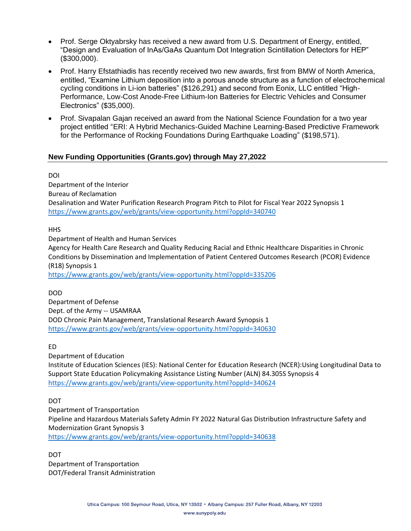- Prof. Serge Oktyabrsky has received a new award from U.S. Department of Energy, entitled, "Design and Evaluation of InAs/GaAs Quantum Dot Integration Scintillation Detectors for HEP" (\$300,000).
- Prof. Harry Efstathiadis has recently received two new awards, first from BMW of North America, entitled, "Examine Lithium deposition into a porous anode structure as a function of electrochemical cycling conditions in Li-ion batteries" (\$126,291) and second from Eonix, LLC entitled "High-Performance, Low-Cost Anode-Free Lithium-Ion Batteries for Electric Vehicles and Consumer Electronics" (\$35,000).
- Prof. Sivapalan Gajan received an award from the National Science Foundation for a two year project entitled "ERI: A Hybrid Mechanics-Guided Machine Learning-Based Predictive Framework for the Performance of Rocking Foundations During Earthquake Loading" (\$198,571).

## **New Funding Opportunities (Grants.gov) through May 27,2022**

DOI

Department of the Interior Bureau of Reclamation Desalination and Water Purification Research Program Pitch to Pilot for Fiscal Year 2022 Synopsis 1 <https://www.grants.gov/web/grants/view-opportunity.html?oppId=340740>

**HHS** 

Department of Health and Human Services

Agency for Health Care Research and Quality Reducing Racial and Ethnic Healthcare Disparities in Chronic Conditions by Dissemination and Implementation of Patient Centered Outcomes Research (PCOR) Evidence (R18) Synopsis 1

<https://www.grants.gov/web/grants/view-opportunity.html?oppId=335206>

DOD

Department of Defense Dept. of the Army -- USAMRAA DOD Chronic Pain Management, Translational Research Award Synopsis 1 <https://www.grants.gov/web/grants/view-opportunity.html?oppId=340630>

ED

Department of Education Institute of Education Sciences (IES): National Center for Education Research (NCER):Using Longitudinal Data to Support State Education Policymaking Assistance Listing Number (ALN) 84.305S Synopsis 4 <https://www.grants.gov/web/grants/view-opportunity.html?oppId=340624>

DOT

Department of Transportation Pipeline and Hazardous Materials Safety Admin FY 2022 Natural Gas Distribution Infrastructure Safety and Modernization Grant Synopsis 3 <https://www.grants.gov/web/grants/view-opportunity.html?oppId=340638>

DOT Department of Transportation DOT/Federal Transit Administration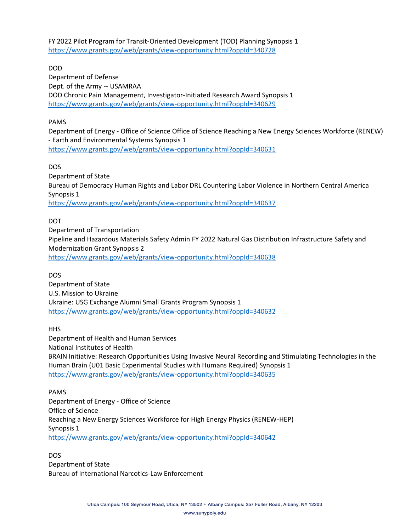FY 2022 Pilot Program for Transit-Oriented Development (TOD) Planning Synopsis 1 <https://www.grants.gov/web/grants/view-opportunity.html?oppId=340728>

DOD

Department of Defense Dept. of the Army -- USAMRAA DOD Chronic Pain Management, Investigator-Initiated Research Award Synopsis 1 <https://www.grants.gov/web/grants/view-opportunity.html?oppId=340629>

PAMS

Department of Energy - Office of Science Office of Science Reaching a New Energy Sciences Workforce (RENEW) - Earth and Environmental Systems Synopsis 1 <https://www.grants.gov/web/grants/view-opportunity.html?oppId=340631>

DOS

Department of State Bureau of Democracy Human Rights and Labor DRL Countering Labor Violence in Northern Central America Synopsis 1 <https://www.grants.gov/web/grants/view-opportunity.html?oppId=340637>

DOT

Department of Transportation Pipeline and Hazardous Materials Safety Admin FY 2022 Natural Gas Distribution Infrastructure Safety and Modernization Grant Synopsis 2 <https://www.grants.gov/web/grants/view-opportunity.html?oppId=340638>

DOS

Department of State U.S. Mission to Ukraine Ukraine: USG Exchange Alumni Small Grants Program Synopsis 1 <https://www.grants.gov/web/grants/view-opportunity.html?oppId=340632>

HHS

Department of Health and Human Services National Institutes of Health BRAIN Initiative: Research Opportunities Using Invasive Neural Recording and Stimulating Technologies in the Human Brain (U01 Basic Experimental Studies with Humans Required) Synopsis 1 <https://www.grants.gov/web/grants/view-opportunity.html?oppId=340635>

PAMS

Department of Energy - Office of Science Office of Science Reaching a New Energy Sciences Workforce for High Energy Physics (RENEW-HEP) Synopsis 1 <https://www.grants.gov/web/grants/view-opportunity.html?oppId=340642>

DOS Department of State Bureau of International Narcotics-Law Enforcement